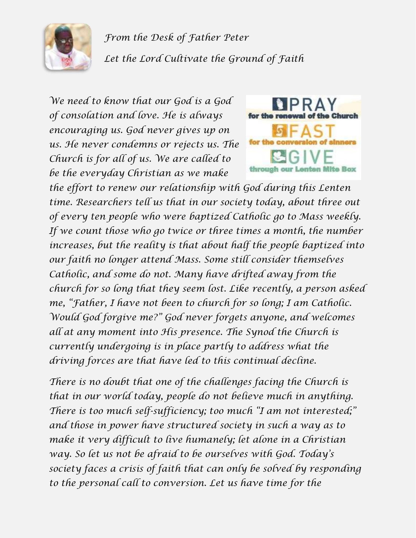

*From the Desk of Father Peter Let the Lord Cultivate the Ground of Faith*

*We need to know that our God is a God of consolation and love. He is always encouraging us. God never gives up on us. He never condemns or rejects us. The Church is for all of us. We are called to be the everyday Christian as we make* 



*the effort to renew our relationship with God during this Lenten time. Researchers tell us that in our society today, about three out of every ten people who were baptized Catholic go to Mass weekly. If we count those who go twice or three times a month, the number increases, but the reality is that about half the people baptized into our faith no longer attend Mass. Some still consider themselves Catholic, and some do not. Many have drifted away from the church for so long that they seem lost. Like recently, a person asked me, "Father, I have not been to church for so long; I am Catholic. Would God forgive me?" God never forgets anyone, and welcomes all at any moment into His presence. The Synod the Church is currently undergoing is in place partly to address what the driving forces are that have led to this continual decline.*

*There is no doubt that one of the challenges facing the Church is that in our world today, people do not believe much in anything. There is too much self-sufficiency; too much "I am not interested;" and those in power have structured society in such a way as to make it very difficult to live humanely; let alone in a Christian way. So let us not be afraid to be ourselves with God. Today's society faces a crisis of faith that can only be solved by responding to the personal call to conversion. Let us have time for the*